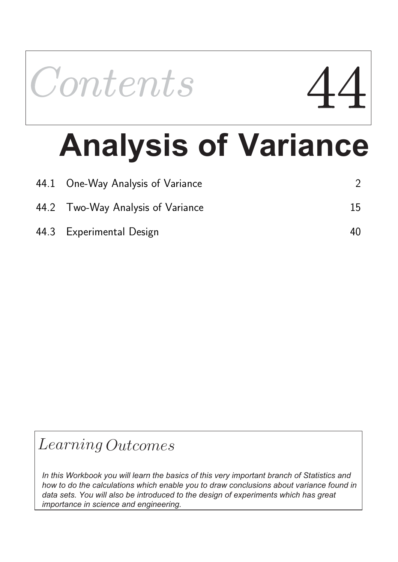

# **Analysis of Variance**

| 44.1 One-Way Analysis of Variance |    |
|-----------------------------------|----|
| 44.2 Two-Way Analysis of Variance | 15 |
| 44.3 Experimental Design          | 40 |

## Learning Outcomes

*In this Workbook you will learn the basics of this very important branch of Statistics and how to do the calculations which enable you to draw conclusions about variance found in data sets. You will also be introduced to the design of experiments which has great importance in science and engineering.*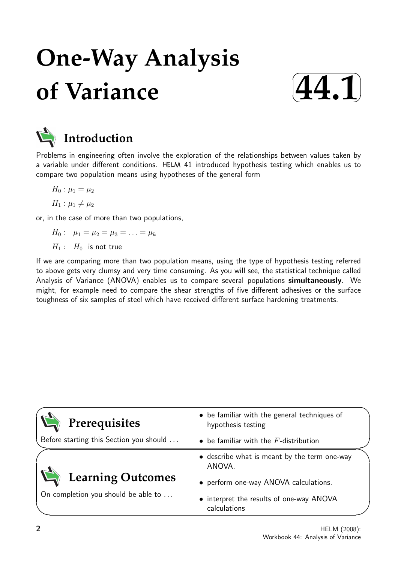## **One-Way Analysis of Variance**





## **Introduction**

Problems in engineering often involve the exploration of the relationships between values taken by a variable under different conditions. HELM 41 introduced hypothesis testing which enables us to compare two population means using hypotheses of the general form

$$
H_0: \mu_1 = \mu_2
$$

$$
H_1: \mu_1 \neq \mu_2
$$

or, in the case of more than two populations,

$$
H_0: \ \mu_1 = \mu_2 = \mu_3 = \ldots = \mu_k
$$

 $H_1: H_0$  is not true

If we are comparing more than two population means, using the type of hypothesis testing referred to above gets very clumsy and very time consuming. As you will see, the statistical technique called Analysis of Variance (ANOVA) enables us to compare several populations simultaneously. We might, for example need to compare the shear strengths of five different adhesives or the surface toughness of six samples of steel which have received different surface hardening treatments.

| Prerequisites                           | • be familiar with the general techniques of<br>hypothesis testing |  |
|-----------------------------------------|--------------------------------------------------------------------|--|
| Before starting this Section you should | $\bullet$ be familiar with the F-distribution                      |  |
|                                         | • describe what is meant by the term one-way<br>ANOVA.             |  |
| Learning Outcomes                       | • perform one-way ANOVA calculations.                              |  |
| On completion you should be able to     | • interpret the results of one-way ANOVA<br>calculations           |  |

 $\overline{\phantom{0}}$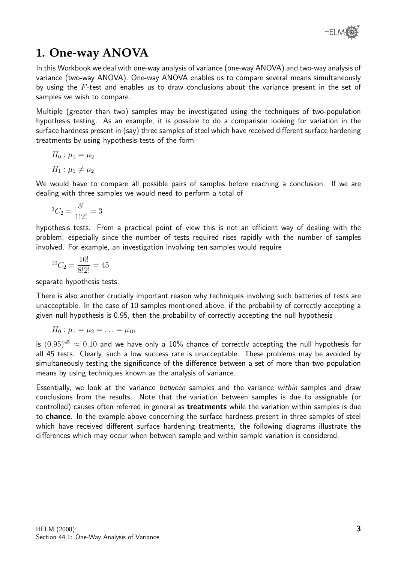### **1. One-way ANOVA**

In this Workbook we deal with one-way analysis of variance (one-way ANOVA) and two-way analysis of variance (two-way ANOVA). One-way ANOVA enables us to compare several means simultaneously by using the  $F$ -test and enables us to draw conclusions about the variance present in the set of samples we wish to compare.

Multiple (greater than two) samples may be investigated using the techniques of two-population hypothesis testing. As an example, it is possible to do a comparison looking for variation in the surface hardness present in (say) three samples of steel which have received different surface hardening treatments by using hypothesis tests of the form

$$
H_0: \mu_1 = \mu_2
$$
  

$$
H_1: \mu_1 \neq \mu_2
$$

We would have to compare all possible pairs of samples before reaching a conclusion. If we are dealing with three samples we would need to perform a total of

$$
{}^{3}C_{2} = \frac{3!}{1!2!} = 3
$$

hypothesis tests. From a practical point of view this is not an efficient way of dealing with the problem, especially since the number of tests required rises rapidly with the number of samples involved. For example, an investigation involving ten samples would require

$$
{}^{10}C_2 = \frac{10!}{8!2!} = 45
$$

separate hypothesis tests.

There is also another crucially important reason why techniques involving such batteries of tests are unacceptable. In the case of 10 samples mentioned above, if the probability of correctly accepting a given null hypothesis is 0.95, then the probability of correctly accepting the null hypothesis

$$
H_0: \mu_1 = \mu_2 = \ldots = \mu_{10}
$$

is  $(0.95)^{45} \approx 0.10$  and we have only a 10% chance of correctly accepting the null hypothesis for all 45 tests. Clearly, such a low success rate is unacceptable. These problems may be avoided by simultaneously testing the significance of the difference between a set of more than two population means by using techniques known as the analysis of variance.

Essentially, we look at the variance *between* samples and the variance *within* samples and draw conclusions from the results. Note that the variation between samples is due to assignable (or controlled) causes often referred in general as treatments while the variation within samples is due to chance. In the example above concerning the surface hardness present in three samples of steel which have received different surface hardening treatments, the following diagrams illustrate the differences which may occur when between sample and within sample variation is considered.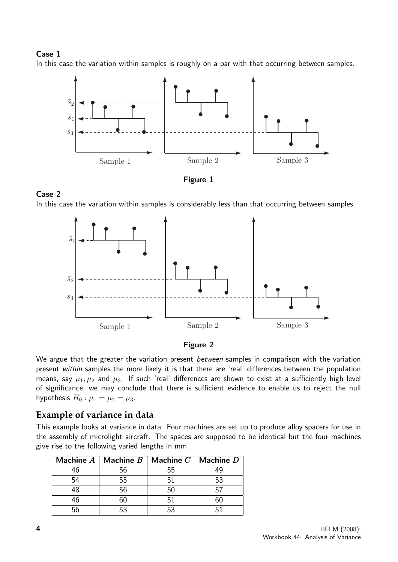#### Case 1

In this case the variation within samples is roughly on a par with that occurring between samples.





#### Case 2

In this case the variation within samples is considerably less than that occurring between samples.





We argue that the greater the variation present *between* samples in comparison with the variation present within samples the more likely it is that there are 'real' differences between the population means, say  $\mu_1, \mu_2$  and  $\mu_3$ . If such 'real' differences are shown to exist at a sufficiently high level of significance, we may conclude that there is sufficient evidence to enable us to reject the null hypothesis  $H_0$ :  $\mu_1 = \mu_2 = \mu_3$ .

#### **Example of variance in data**

This example looks at variance in data. Four machines are set up to produce alloy spacers for use in the assembly of microlight aircraft. The spaces are supposed to be identical but the four machines give rise to the following varied lengths in mm.

|    | Machine $A \mid$ Machine $B \mid$ Machine $C \mid$ Machine $D \mid$ |      |  |
|----|---------------------------------------------------------------------|------|--|
| 46 | 56                                                                  | 55   |  |
|    | 55                                                                  | 51   |  |
|    | 56                                                                  | 50   |  |
| 46 |                                                                     | -51. |  |
|    |                                                                     |      |  |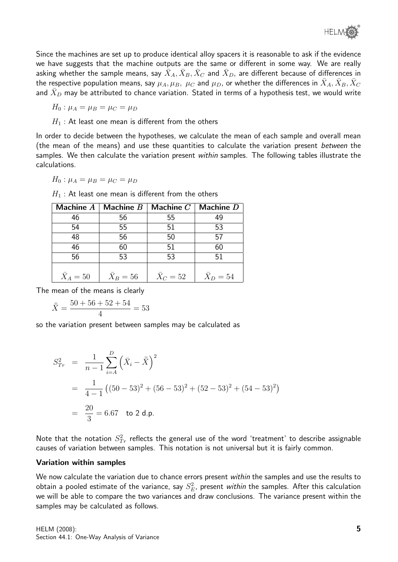Since the machines are set up to produce identical alloy spacers it is reasonable to ask if the evidence we have suggests that the machine outputs are the same or different in some way. We are really asking whether the sample means, say  $\bar{X}_A, \bar{X}_B, \bar{X}_C$  and  $\bar{X}_D$ , are different because of differences in the respective population means, say  $\mu_A,\mu_B,~\mu_C$  and  $\mu_D$ , or whether the differences in  $\bar{X}_A,\bar{X}_B,\bar{X}_C$ and  $\bar{X}_D$  may be attributed to chance variation. Stated in terms of a hypothesis test, we would write

 $H_0: \mu_A = \mu_B = \mu_C = \mu_D$ 

 $H_1$ : At least one mean is different from the others

In order to decide between the hypotheses, we calculate the mean of each sample and overall mean (the mean of the means) and use these quantities to calculate the variation present between the samples. We then calculate the variation present within samples. The following tables illustrate the calculations.

$$
H_0: \mu_A = \mu_B = \mu_C = \mu_D
$$

 $H_1$ : At least one mean is different from the others

| Machine $A$      | Machine $B$ | Machine $C$ | Machine D |
|------------------|-------------|-------------|-----------|
| 46               | 56          | 55          | 49        |
| 54               | 55          | 51          | 53        |
| 48               | 56          | 50          | 57        |
| 46               | 60          | 51          | 60        |
| 56               | 53          | 53          | 51        |
|                  |             |             |           |
| $\bar{X}_A = 50$ | $X_B=56$    | $X_C = 52$  | $X_D=54$  |

The mean of the means is clearly

$$
\bar{X} = \frac{50 + 56 + 52 + 54}{4} = 53
$$

so the variation present between samples may be calculated as

$$
S_{Tr}^{2} = \frac{1}{n-1} \sum_{i=A}^{D} (\bar{X}_{i} - \bar{\bar{X}})^{2}
$$
  
=  $\frac{1}{4-1} ((50-53)^{2} + (56-53)^{2} + (52-53)^{2} + (54-53)^{2})$   
=  $\frac{20}{3} = 6.67$  to 2 d.p.

Note that the notation  $S^2_{Tr}$  reflects the general use of the word 'treatment' to describe assignable causes of variation between samples. This notation is not universal but it is fairly common.

#### Variation within samples

We now calculate the variation due to chance errors present within the samples and use the results to obtain a pooled estimate of the variance, say  $S^2_E$ , present *within* the samples. After this calculation we will be able to compare the two variances and draw conclusions. The variance present within the samples may be calculated as follows.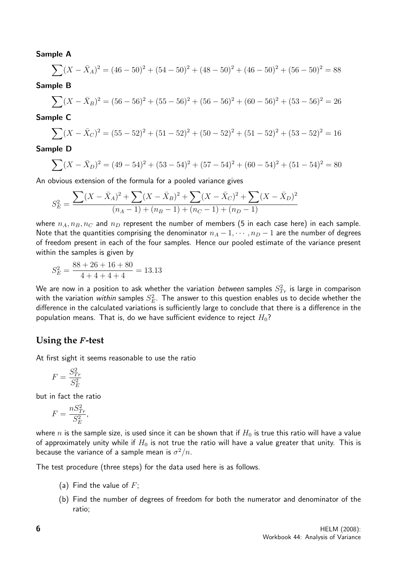#### Sample A

$$
\sum (X - \bar{X}_A)^2 = (46 - 50)^2 + (54 - 50)^2 + (48 - 50)^2 + (46 - 50)^2 + (56 - 50)^2 = 88
$$

#### Sample B

$$
\sum (X - \bar{X}_B)^2 = (56 - 56)^2 + (55 - 56)^2 + (56 - 56)^2 + (60 - 56)^2 + (53 - 56)^2 = 26
$$

#### Sample C

$$
\sum (X - \bar{X}_C)^2 = (55 - 52)^2 + (51 - 52)^2 + (50 - 52)^2 + (51 - 52)^2 + (53 - 52)^2 = 16
$$

#### Sample D

$$
\sum (X - \bar{X}_D)^2 = (49 - 54)^2 + (53 - 54)^2 + (57 - 54)^2 + (60 - 54)^2 + (51 - 54)^2 = 80
$$

An obvious extension of the formula for a pooled variance gives

$$
S_E^2 = \frac{\sum (X - \bar{X}_A)^2 + \sum (X - \bar{X}_B)^2 + \sum (X - \bar{X}_C)^2 + \sum (X - \bar{X}_D)^2}{(n_A - 1) + (n_B - 1) + (n_C - 1) + (n_D - 1)}
$$

where  $n_A, n_B, n_C$  and  $n_D$  represent the number of members (5 in each case here) in each sample. Note that the quantities comprising the denominator  $n_A - 1, \dots, n_D - 1$  are the number of degrees of freedom present in each of the four samples. Hence our pooled estimate of the variance present within the samples is given by

$$
S_E^2 = \frac{88 + 26 + 16 + 80}{4 + 4 + 4 + 4} = 13.13
$$

We are now in a position to ask whether the variation  $b$ etween samples  $S^2_{Tr}$  is large in comparison with the variation *within* samples  $S_E^2$ . The answer to this question enables us to decide whether the difference in the calculated variations is sufficiently large to conclude that there is a difference in the population means. That is, do we have sufficient evidence to reject  $H_0$ ?

#### **Using the** F **-test**

At first sight it seems reasonable to use the ratio

$$
F = \frac{S_{Tr}^2}{S_E^2}
$$

but in fact the ratio

$$
F = \frac{nS_{Tr}^2}{S_E^2},
$$

where n is the sample size, is used since it can be shown that if  $H_0$  is true this ratio will have a value of approximately unity while if  $H_0$  is not true the ratio will have a value greater that unity. This is because the variance of a sample mean is  $\sigma^2/n$ .

The test procedure (three steps) for the data used here is as follows.

- (a) Find the value of  $F$ ;
- (b) Find the number of degrees of freedom for both the numerator and denominator of the ratio;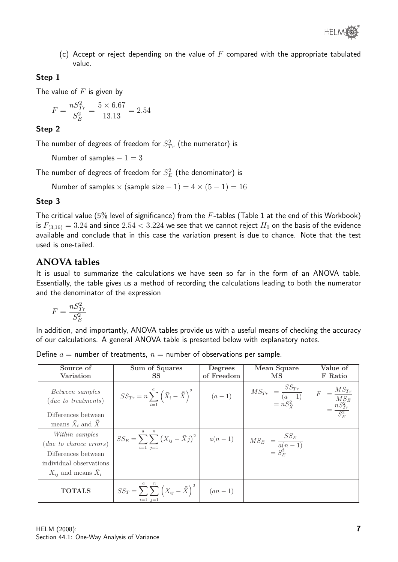

(c) Accept or reject depending on the value of  $F$  compared with the appropriate tabulated value.

#### Step 1

The value of  $F$  is given by

$$
F = \frac{nS_{Tr}^2}{S_E^2} = \frac{5 \times 6.67}{13.13} = 2.54
$$

#### Step 2

The number of degrees of freedom for  $S^2_{Tr}$  (the numerator) is

Number of samples  $-1=3$ 

The number of degrees of freedom for  $S_E^2$  (the denominator) is

Number of samples  $\times$  (sample size  $-1$ ) = 4  $\times$  (5  $-1$ ) = 16

#### Step 3

The critical value (5% level of significance) from the  $F$ -tables (Table 1 at the end of this Workbook) is  $F_{(3,16)} = 3.24$  and since  $2.54 < 3.224$  we see that we cannot reject  $H_0$  on the basis of the evidence available and conclude that in this case the variation present is due to chance. Note that the test used is one-tailed.

### **ANOVA tables**

It is usual to summarize the calculations we have seen so far in the form of an ANOVA table. Essentially, the table gives us a method of recording the calculations leading to both the numerator and the denominator of the expression

$$
F=\frac{nS_{Tr}^2}{S_E^2}
$$

In addition, and importantly, ANOVA tables provide us with a useful means of checking the accuracy of our calculations. A general ANOVA table is presented below with explanatory notes.

| Define $a =$ number of treatments, $n =$ number of observations per sample. |  |  |
|-----------------------------------------------------------------------------|--|--|
|                                                                             |  |  |

| Source of                                                                                           | Sum of Squares                                                                                                                                                                                               | Degrees    | Mean Square         | Value of |
|-----------------------------------------------------------------------------------------------------|--------------------------------------------------------------------------------------------------------------------------------------------------------------------------------------------------------------|------------|---------------------|----------|
| Variation                                                                                           | SS <sup>-</sup>                                                                                                                                                                                              | of Freedom | $\overline{\rm MS}$ | F Ratio  |
| Between samples<br>$(due\ to\ treatments)$                                                          | $SS_{Tr} = n \sum_{i=1}^{a} (\bar{X}_{i} - \bar{X})^{2}$ (a - 1) $MS_{Tr} = \frac{SS_{Tr}}{(a-1)}$ $F = \frac{MS_{Tr}}{MS_{E}}$<br>= $nS_{X}^{2}$ $F = \frac{MS_{Tr}}{SS_{Tr}}$ $F = \frac{MS_{Tr}}{MS_{E}}$ |            |                     |          |
| Differences between                                                                                 |                                                                                                                                                                                                              |            |                     |          |
| means $\bar{X}_i$ and $\bar{X}$                                                                     |                                                                                                                                                                                                              |            |                     |          |
| Within samples<br>( <i>due to chance errors</i> )<br>Differences between<br>individual observations | $\boldsymbol{n}$<br>$SS_E = \sum_{i=1}^{N} \sum_{j=1}^{N} (X_{ij} - \bar{X}j)^2$ $a(n-1)$ $MS_E = \frac{SS_E}{a(n-1)}$<br>$= S_E^2$                                                                          |            |                     |          |
| $X_{ij}$ and means $X_i$                                                                            |                                                                                                                                                                                                              |            |                     |          |
| <b>TOTALS</b>                                                                                       | $SS_T = \sum_{i=1}^{n} \sum_{j=1}^{n} (X_{ij} - \bar{\bar{X}})^2$ $(an-1)$                                                                                                                                   |            |                     |          |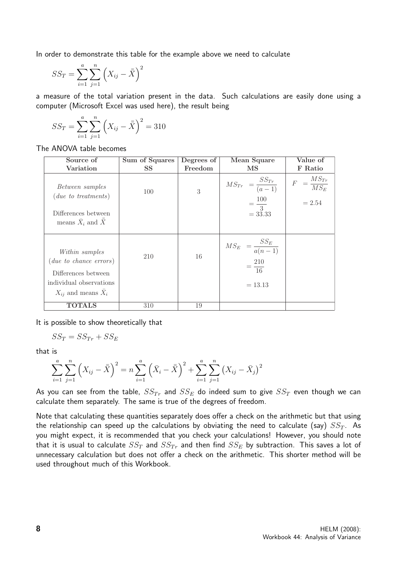In order to demonstrate this table for the example above we need to calculate

$$
SS_T = \sum_{i=1}^{a} \sum_{j=1}^{n} (X_{ij} - \bar{\bar{X}})^2
$$

a measure of the total variation present in the data. Such calculations are easily done using a computer (Microsoft Excel was used here), the result being

$$
SS_T = \sum_{i=1}^{a} \sum_{j=1}^{n} \left( X_{ij} - \bar{\bar{X}} \right)^2 = 310
$$

The ANOVA table becomes

| Source of                                                                                                                   | Sum of Squares | Degrees of | Mean Square                                                                       | Value of                                        |
|-----------------------------------------------------------------------------------------------------------------------------|----------------|------------|-----------------------------------------------------------------------------------|-------------------------------------------------|
| Variation                                                                                                                   | <b>SS</b>      | Freedom    | $\overline{\rm MS}$                                                               | F Ratio                                         |
| Between samples<br>$(due\ to\ treatments)$<br>Differences between<br>means $\bar{X}_i$ and $\bar{X}$                        | 100            | 3          | $\label{eq:2.1} MS_{Tr} = \frac{SS_{Tr}}{(a-1)}$<br>$=\frac{100}{3}$<br>$= 33.33$ | $=\frac{MS_{Tr}}{MS_E}$<br>$\cal F$<br>$= 2.54$ |
| Within samples<br>$(due\ to\ chance\ errors)$<br>Differences between<br>individual observations<br>$X_{ii}$ and means $X_i$ | 210            | 16         | $M S_E = \frac{S S_E}{a(n-1)}$<br>$=\frac{210}{16}$<br>$= 13.13$                  |                                                 |
| <b>TOTALS</b>                                                                                                               | 310            | 19         |                                                                                   |                                                 |

It is possible to show theoretically that

$$
SS_T = SS_{Tr} + SS_E
$$

that is

$$
\sum_{i=1}^{a} \sum_{j=1}^{n} \left( X_{ij} - \bar{X} \right)^2 = n \sum_{i=1}^{a} \left( \bar{X}_i - \bar{X} \right)^2 + \sum_{i=1}^{a} \sum_{j=1}^{n} \left( X_{ij} - \bar{X}_j \right)^2
$$

As you can see from the table,  $SS_{Tr}$  and  $SS_E$  do indeed sum to give  $SS_T$  even though we can calculate them separately. The same is true of the degrees of freedom.

Note that calculating these quantities separately does offer a check on the arithmetic but that using the relationship can speed up the calculations by obviating the need to calculate (say)  $SS_T$ . As you might expect, it is recommended that you check your calculations! However, you should note that it is usual to calculate  $SS_T$  and  $SS_{Tr}$  and then find  $SS_E$  by subtraction. This saves a lot of unnecessary calculation but does not offer a check on the arithmetic. This shorter method will be used throughout much of this Workbook.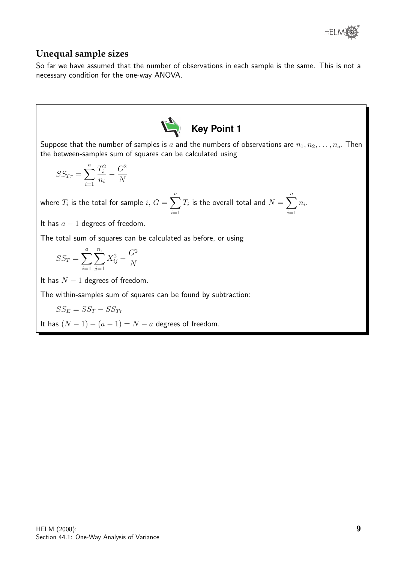

#### **Unequal sample sizes**

So far we have assumed that the number of observations in each sample is the same. This is not a necessary condition for the one-way ANOVA.

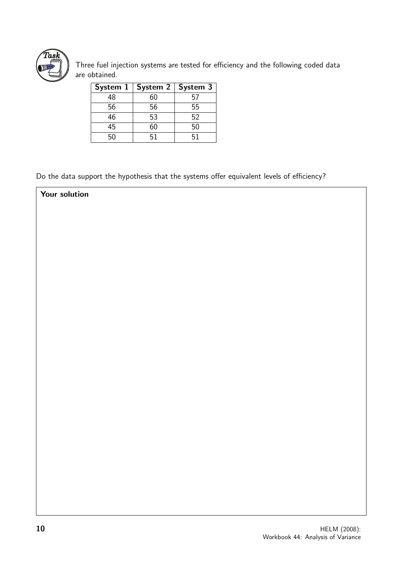

Your solution

Three fuel injection systems are tested for efficiency and the following coded data are obtained.

| System $1 \mid$ | System $2 \mid$ | System 3 |
|-----------------|-----------------|----------|
| 48              | 60              | 57       |
| 56              | 56              | 55       |
| 46              | 53              | 52       |
| 45              | 60              | 50       |
| 50              | 51              | 51       |

Do the data support the hypothesis that the systems offer equivalent levels of efficiency?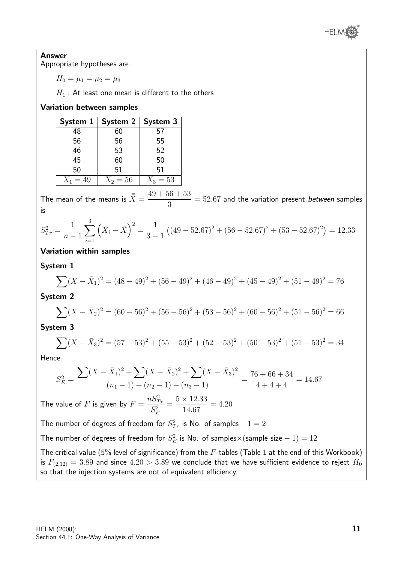

### Answer

Appropriate hypotheses are

$$
H_0 = \mu_1 = \mu_2 = \mu_3
$$

 $H_1$ : At least one mean is different to the others

#### Variation between samples

| System 1   | System 2   | System 3   |
|------------|------------|------------|
| 48         | 60         | 57         |
| 56         | 56         | 55         |
| 46         | 53         | 52         |
| 45         | 60         | 50         |
| 50         | 51         | 51         |
| $X_1 = 49$ | $X_2 = 56$ | $X_3 = 53$ |

The mean of the means is  $\bar{\bar{X}} = \frac{49 + 56 + 53}{8}$ 3  $= 52.67$  and the variation present between samples is

$$
S_{Tr}^2 = \frac{1}{n-1} \sum_{i=1}^3 \left( \bar{X}_i - \bar{X} \right)^2 = \frac{1}{3-1} \left( (49 - 52.67)^2 + (56 - 52.67)^2 + (53 - 52.67)^2 \right) = 12.33
$$

#### Variation within samples

#### System 1

$$
\sum (X - \bar{X}_1)^2 = (48 - 49)^2 + (56 - 49)^2 + (46 - 49)^2 + (45 - 49)^2 + (51 - 49)^2 = 76
$$

#### System 2

$$
\sum (X - \bar{X}_2)^2 = (60 - 56)^2 + (56 - 56)^2 + (53 - 56)^2 + (60 - 56)^2 + (51 - 56)^2 = 66
$$

System 3

$$
\sum (X - \bar{X}_3)^2 = (57 - 53)^2 + (55 - 53)^2 + (52 - 53)^2 + (50 - 53)^2 + (51 - 53)^2 = 34
$$

Hence

$$
S_E^2 = \frac{\sum (X - \bar{X}_1)^2 + \sum (X - \bar{X}_2)^2 + \sum (X - \bar{X}_3)^2}{(n_1 - 1) + (n_2 - 1) + (n_3 - 1)} = \frac{76 + 66 + 34}{4 + 4 + 4} = 14.67
$$

The value of F is given by  $F =$  $nS^2_{Tr}$  $S_E^2$ =  $5 \times 12.33$ 14.67  $= 4.20$ 

The number of degrees of freedom for  $S^2_{Tr}$  is No. of samples  $-1=2$ 

The number of degrees of freedom for  $S_E^2$  is No. of samples $\times$  (sample size  $-$  1)  $=12$ 

The critical value (5% level of significance) from the  $F$ -tables (Table 1 at the end of this Workbook) is  $F_{(2,12)} = 3.89$  and since  $4.20 > 3.89$  we conclude that we have sufficient evidence to reject  $H_0$ so that the injection systems are not of equivalent efficiency.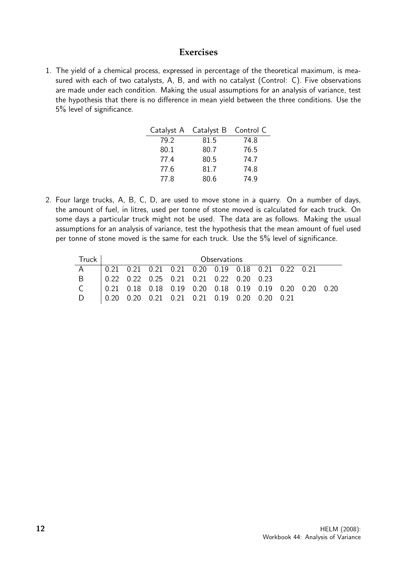#### **Exercises**

1. The yield of a chemical process, expressed in percentage of the theoretical maximum, is measured with each of two catalysts, A, B, and with no catalyst (Control: C). Five observations are made under each condition. Making the usual assumptions for an analysis of variance, test the hypothesis that there is no difference in mean yield between the three conditions. Use the 5% level of significance.

| Catalyst A | Catalyst B Control C |      |
|------------|----------------------|------|
| 79.2       | 81.5                 | 74.8 |
| 80.1       | 80.7                 | 76.5 |
| 77.4       | 80.5                 | 74.7 |
| 77.6       | 81.7                 | 74.8 |
| 77.8       | 80.6                 | 74.9 |

2. Four large trucks, A, B, C, D, are used to move stone in a quarry. On a number of days, the amount of fuel, in litres, used per tonne of stone moved is calculated for each truck. On some days a particular truck might not be used. The data are as follows. Making the usual assumptions for an analysis of variance, test the hypothesis that the mean amount of fuel used per tonne of stone moved is the same for each truck. Use the 5% level of significance.

| Truck I | Observations |  |  |  |                                                                                           |  |  |  |  |
|---------|--------------|--|--|--|-------------------------------------------------------------------------------------------|--|--|--|--|
|         |              |  |  |  | 0.21  0.21  0.21  0.21  0.20  0.19  0.18  0.21  0.22  0.21                                |  |  |  |  |
| B.      |              |  |  |  | $\begin{array}{cccccc} 0.22 & 0.22 & 0.25 & 0.21 & 0.21 & 0.22 & 0.20 & 0.23 \end{array}$ |  |  |  |  |
|         |              |  |  |  | $\vert$ 0.21 0.18 0.18 0.19 0.20 0.18 0.19 0.19 0.20 0.20 0.20                            |  |  |  |  |
|         |              |  |  |  | 0.20 0.20 0.21 0.21 0.21 0.19 0.20 0.20 0.21                                              |  |  |  |  |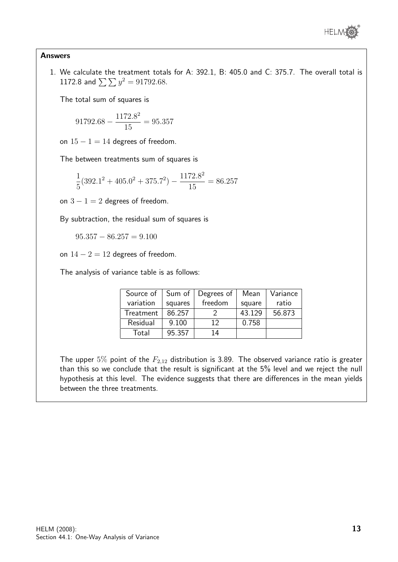

#### Answers

1. We calculate the treatment totals for A: 392.1, B: 405.0 and C: 375.7. The overall total is 1172.8 and  $\sum \sum y^2 = 91792.68$ .

The total sum of squares is

$$
91792.68 - \frac{1172.8^2}{15} = 95.357
$$

on  $15 - 1 = 14$  degrees of freedom.

The between treatments sum of squares is

$$
\frac{1}{5}(392.1^2 + 405.0^2 + 375.7^2) - \frac{1172.8^2}{15} = 86.257
$$

on  $3 - 1 = 2$  degrees of freedom.

By subtraction, the residual sum of squares is

 $95.357 - 86.257 = 9.100$ 

on  $14 - 2 = 12$  degrees of freedom.

The analysis of variance table is as follows:

| Source of | Sum of  | Degrees of | Mean   | Variance |
|-----------|---------|------------|--------|----------|
| variation | squares | freedom    | square | ratio    |
| Treatment | 86.257  |            | 43.129 | 56.873   |
| Residual  | 9.100   | 12         | 0.758  |          |
| Total     | 95.357  | 14         |        |          |

The upper 5% point of the  $F_{2,12}$  distribution is 3.89. The observed variance ratio is greater than this so we conclude that the result is significant at the 5% level and we reject the null hypothesis at this level. The evidence suggests that there are differences in the mean yields between the three treatments.